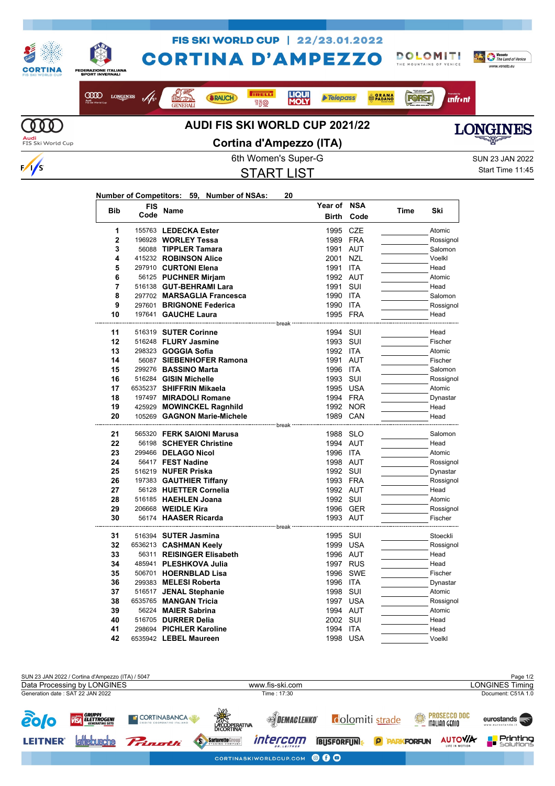

START LIST

Start Time 11:45

## **Number of Competitors: 59, Number of NSAs: 20**

| <b>Bib</b>     | <b>FIS</b> | Name                                           | Year of                                                                | <b>NSA</b> | Time | Ski                  |
|----------------|------------|------------------------------------------------|------------------------------------------------------------------------|------------|------|----------------------|
|                | Code       |                                                | <b>Birth</b>                                                           | Code       |      |                      |
| 1              |            | 155763 LEDECKA Ester                           | 1995                                                                   | <b>CZE</b> |      | Atomic               |
| $\overline{2}$ |            | 196928 WORLEY Tessa                            | 1989 FRA                                                               |            |      | Rossignol            |
| 3              |            | 56088 TIPPLER Tamara                           | 1991                                                                   | <b>AUT</b> |      | Salomon              |
| 4              |            | 415232 ROBINSON Alice                          | 2001                                                                   | <b>NZL</b> |      | Voelkl               |
| 5              |            | 297910 CURTONI Elena                           | 1991                                                                   | <b>ITA</b> |      | Head                 |
| 6              |            | 56125 PUCHNER Mirjam                           | 1992 AUT                                                               |            |      | Atomic               |
| 7              |            | 516138 GUT-BEHRAMI Lara                        | 1991                                                                   | SUI        |      | Head                 |
| 8              |            | 297702 MARSAGLIA Francesca                     | 1990                                                                   | <b>ITA</b> |      | Salomon              |
| 9              |            | 297601 BRIGNONE Federica                       | 1990 ITA                                                               |            |      | Rossignol            |
| 10             |            | 197641 GAUCHE Laura                            | 1995 FRA                                                               |            |      | Head                 |
|                |            |                                                | ------------------------------- break -------------------------------- |            |      |                      |
| 11             |            | 516319 SUTER Corinne                           | 1994 SUI                                                               |            |      | Head                 |
| 12             |            | 516248 FLURY Jasmine                           | 1993                                                                   | SUI        |      | Fischer              |
| 13             |            | 298323 <b>GOGGIA Sofia</b>                     | 1992 ITA                                                               |            |      | Atomic               |
| 14             |            | 56087 SIEBENHOFER Ramona                       | 1991 AUT                                                               |            |      | Fischer              |
| 15             |            | 299276 BASSINO Marta                           | 1996 ITA                                                               |            |      | Salomon              |
| 16             |            | 516284 GISIN Michelle                          | 1993 SUI                                                               |            |      | Rossignol            |
| 17             |            | 6535237 SHIFFRIN Mikaela                       | 1995                                                                   | <b>USA</b> |      | Atomic               |
| 18             |            | 197497 MIRADOLI Romane                         | 1994 FRA                                                               |            |      | Dynastar             |
| 19             |            | 425929 MOWINCKEL Ragnhild                      |                                                                        | 1992 NOR   |      | Head                 |
| 20             |            | 105269 GAGNON Marie-Michele                    | 1989 CAN                                                               |            |      | Head                 |
|                |            |                                                | -------------------- break -----------------                           |            |      |                      |
| 21             |            | 565320 FERK SAIONI Marusa                      | 1988 SLO                                                               |            |      | Salomon              |
| 22             |            | 56198 SCHEYER Christine                        | 1994 AUT                                                               |            |      | Head                 |
| 23             |            | 299466 DELAGO Nicol                            | 1996                                                                   | ITA        |      | Atomic               |
| 24             |            | 56417 FEST Nadine                              | 1998 AUT                                                               |            |      | Rossignol            |
| 25             |            | 516219 NUFER Priska                            | 1992 SUI                                                               |            |      | Dynastar             |
| 26             |            | 197383 GAUTHIER Tiffany                        | 1993 FRA                                                               |            |      | Rossignol            |
| 27<br>28       |            | 56128 HUETTER Cornelia<br>516185 HAEHLEN Joana | 1992 AUT<br>1992 SUI                                                   |            |      | Head                 |
| 29             |            |                                                |                                                                        |            |      | Atomic               |
| 30             |            | 206668 WEIDLE Kira<br>56174 HAASER Ricarda     |                                                                        | 1996 GER   |      | Rossignol<br>Fischer |
|                |            | --------------- break                          | 1993 AUT                                                               |            |      |                      |
| 31             |            | 516394 SUTER Jasmina                           | 1995 SUI                                                               |            |      | Stoeckli             |
| 32             |            | 6536213 CASHMAN Keely                          | 1999 USA                                                               |            |      | Rossignol            |
| 33             |            | 56311 REISINGER Elisabeth                      | 1996 AUT                                                               |            |      | Head                 |
| 34             |            | 485941 PLESHKOVA Julia                         | 1997 RUS                                                               |            |      | Head                 |
| 35             |            | 506701 HOERNBLAD Lisa                          | 1996                                                                   | <b>SWE</b> |      | Fischer              |
| 36             |            | 299383 MELESI Roberta                          | 1996 ITA                                                               |            |      | Dynastar             |
| 37             |            | 516517 JENAL Stephanie                         | 1998 SUI                                                               |            |      | Atomic               |
| 38             |            | 6535765 MANGAN Tricia                          | 1997                                                                   | <b>USA</b> |      | Rossignol            |
| 39             |            | 56224 MAIER Sabrina                            | 1994 AUT                                                               |            |      | Atomic               |
| 40             |            | 516705 <b>DURRER Delia</b>                     | 2002                                                                   | SUI        |      | Head                 |
| 41             |            | 298694 PICHLER Karoline                        | 1994                                                                   | <b>ITA</b> |      | Head                 |
| 42             |            | 6535942 LEBEL Maureen                          | 1998                                                                   | USA        |      | Voelkl               |